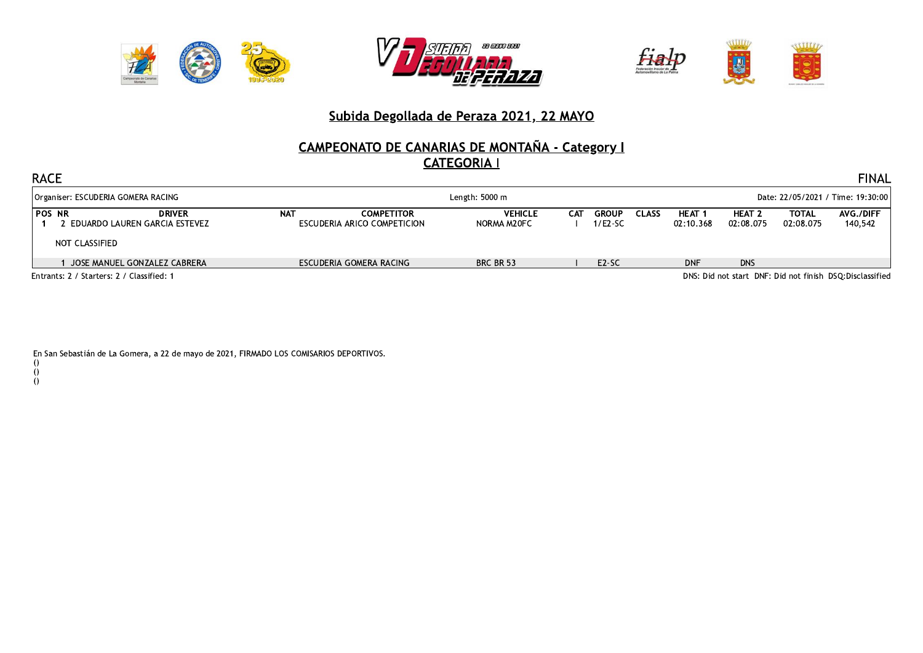





### Subida Degollada de Peraza 2021, 22 MAYO

# CAMPEONATO DE CANARIAS DE MONTAÑA - Category I

| <b>RACE</b><br><b>FINAL</b>                                        |                                                          |            |                                                  |                               |     |                         |                                   |                          |                                |                    |                      |
|--------------------------------------------------------------------|----------------------------------------------------------|------------|--------------------------------------------------|-------------------------------|-----|-------------------------|-----------------------------------|--------------------------|--------------------------------|--------------------|----------------------|
| Organiser: ESCUDERIA GOMERA RACING                                 |                                                          |            | Length: 5000 m                                   |                               |     |                         | Date: 22/05/2021 / Time: 19:30:00 |                          |                                |                    |                      |
| <b>POS NR</b><br>: EDUARDO LAUREN GARCIA ESTEVEZ<br>NOT CLASSIFIED | <b>DRIVER</b>                                            | <b>NAT</b> | <b>COMPETITOR</b><br>ESCUDERIA ARICO COMPETICION | <b>VEHICLE</b><br>NORMA M20FC | САТ | <b>GROUP</b><br>1/E2-SC | <b>CLASS</b>                      | <b>HEAT</b><br>02:10.368 | HEAT <sub>2</sub><br>02:08.075 | TOTAL<br>02:08.075 | AVG./DIFF<br>140,542 |
| JOSE MANUEL GONZALEZ CABRERA                                       |                                                          |            | ESCUDERIA GOMERA RACING                          | BRC BR 53                     |     | E <sub>2</sub> -SC      |                                   | <b>DNF</b>               | <b>DNS</b>                     |                    |                      |
| Entrants: 2 / Starters: 2 / Classified: 1                          | DNS: Did not start DNF: Did not finish DSO:Disclassified |            |                                                  |                               |     |                         |                                   |                          |                                |                    |                      |

En San Sebastián de La Gomera, a 22 de mayo de 2021, FIRMADO LOS COMISARIOS DEPORTIVOS.

- $\begin{matrix} 0 \\ 0 \\ 0 \end{matrix}$
- 
-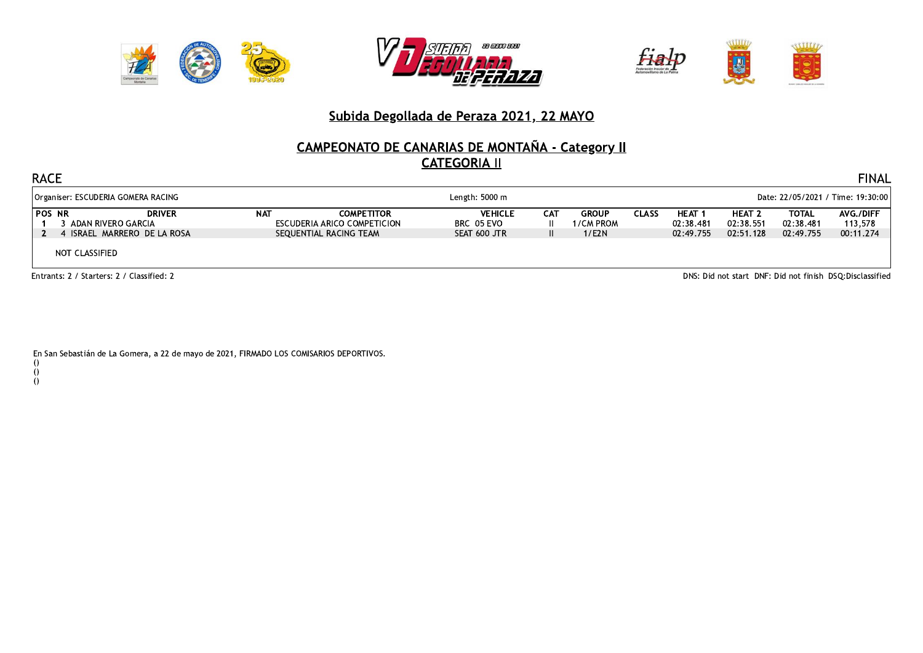





### Subida Degollada de Peraza 2021, 22 MAYO

# CAMPEONATO DE CANARIAS DE MONTAÑA - Category II

|                                                      | <b>RACE</b><br><b>FINAL</b>                                                                           |                                                                                        |            |                                                                            |                                              |            |                                       |       |                                             |                                         |                                 |                                   |
|------------------------------------------------------|-------------------------------------------------------------------------------------------------------|----------------------------------------------------------------------------------------|------------|----------------------------------------------------------------------------|----------------------------------------------|------------|---------------------------------------|-------|---------------------------------------------|-----------------------------------------|---------------------------------|-----------------------------------|
| Organiser: ESCUDERIA GOMERA RACING<br>Length: 5000 m |                                                                                                       |                                                                                        |            |                                                                            |                                              |            |                                       |       |                                             | Date: 22/05/2021 / Time: 19:30:00       |                                 |                                   |
|                                                      | <b>POS NR</b>                                                                                         | <b>DRIVER</b><br>3 ADAN RIVERO GARCIA<br>4 ISRAEL MARRERO DE LA ROSA<br>NOT CLASSIFIED | <b>NAT</b> | <b>COMPETITOR</b><br>ESCUDERIA ARICO COMPETICION<br>SEQUENTIAL RACING TEAM | <b>VEHICLE</b><br>BRC 05 EVO<br>SEAT 600 JTR | <b>CAT</b> | <b>GROUP</b><br>1/CM PROM<br>$1$ /E2N | CLASS | HEAT <sub>1</sub><br>02:38.481<br>02:49.755 | <b>HEAT 2</b><br>02:38.551<br>02:51.128 | TOTAL<br>02:38.481<br>02:49.755 | AVG./DIFF<br>113,578<br>00:11.274 |
|                                                      | DNS: Did not start DNF: Did not finish DSQ:Disclassified<br>Entrants: 2 / Starters: 2 / Classified: 2 |                                                                                        |            |                                                                            |                                              |            |                                       |       |                                             |                                         |                                 |                                   |

En San Sebastián de La Gomera, a 22 de mayo de 2021, FIRMADO LOS COMISARIOS DEPORTIVOS.

- $\begin{matrix} 0 \\ 0 \\ 0 \end{matrix}$
- 
-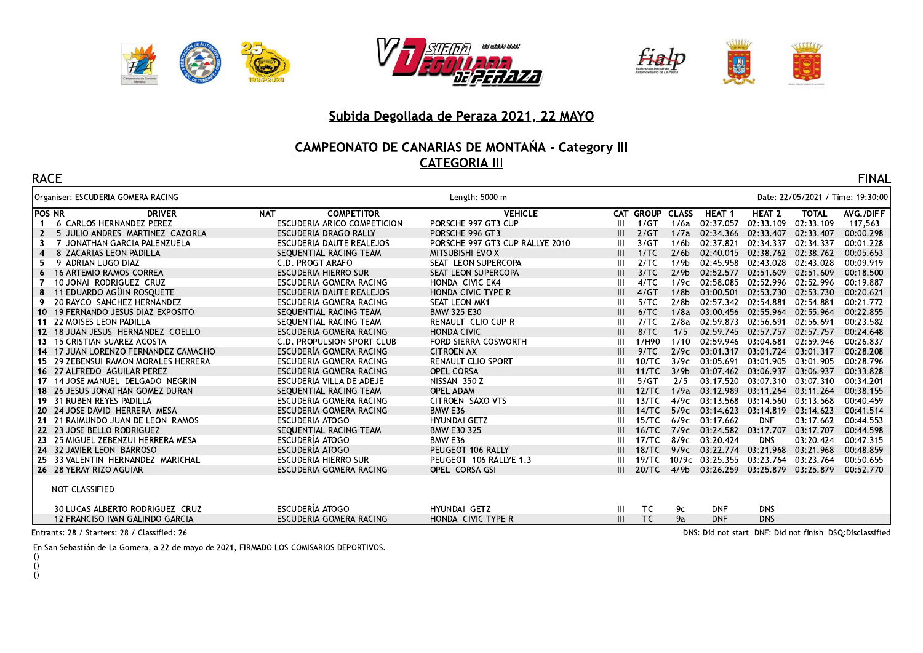





#### Subida Degollada de Peraza 2021, 22 MAYO

# <u> CAMPEONATO DE CANARIAS DE MONTANA - Category III</u><br>CATEGORIA III

| <b>RACE</b>   |                                      |                                    |                                 |   |                 |                  |                     |                                   |              | <b>FINAL</b> |  |  |
|---------------|--------------------------------------|------------------------------------|---------------------------------|---|-----------------|------------------|---------------------|-----------------------------------|--------------|--------------|--|--|
|               | Organiser: ESCUDERIA GOMERA RACING   |                                    | Length: 5000 m                  |   |                 |                  |                     | Date: 22/05/2021 / Time: 19:30:00 |              |              |  |  |
| <b>POS NR</b> | <b>DRIVER</b>                        | <b>NAT</b><br><b>COMPETITOR</b>    | <b>VEHICLE</b>                  |   | CAT GROUP CLASS |                  | HEAT <sub>1</sub>   | HEAT <sub>2</sub>                 | <b>TOTAL</b> | AVG./DIFF    |  |  |
|               | <b>6 CARLOS HERNANDEZ PEREZ</b>      | <b>ESCUDERIA ARICO COMPETICION</b> | PORSCHE 997 GT3 CUP             | Ш | 1/GT            | 1/6a             | 02:37.057           | 02:33.109                         | 02:33.109    | 117,563      |  |  |
| $\mathbf{2}$  | 5 JULIO ANDRES MARTINEZ CAZORLA      | <b>ESCUDERIA DRAGO RALLY</b>       | PORSCHE 996 GT3                 | Ш | 2/GT            | 1/7a             | 02:34.366           | 02:33.407                         | 02:33.407    | 00:00.298    |  |  |
| 3             | JONATHAN GARCIA PALENZUELA           | ESCUDERIA DAUTE REALEJOS           | PORSCHE 997 GT3 CUP RALLYE 2010 | Ш | 3/GT            | 1/6 <sub>b</sub> | 02:37.821           | 02:34.337                         | 02:34.337    | 00:01.228    |  |  |
| 4             | 8 ZACARIAS LEON PADILLA              | SEOUENTIAL RACING TEAM             | MITSUBISHI EVO X                | Ш | 1/TC            | 2/6 <sub>b</sub> | 02:40.015           | 02:38.762                         | 02:38.762    | 00:05.653    |  |  |
| 5.            | 9 ADRIAN LUGO DIAZ                   | C.D. PROGT ARAFO                   | SEAT LEON SUPERCOPA             | Ш | 2/TC            | 1/9 <sub>b</sub> | 02:45.958           | 02:43.028                         | 02:43.028    | 00:09.919    |  |  |
| 6             | <b>16 ARTEMIO RAMOS CORREA</b>       | <b>ESCUDERIA HIERRO SUR</b>        | SEAT LEON SUPERCOPA             | Ш | 3/TC            | 2/9 <sub>b</sub> | 02:52.577           | 02:51.609                         | 02:51.609    | 00:18.500    |  |  |
| 7             | 10 JONAI RODRIGUEZ CRUZ              | ESCUDERIA GOMERA RACING            | HONDA CIVIC EK4                 | Ш | 4/TC            | 1/9c             | 02:58.085           | 02:52.996                         | 02:52.996    | 00:19.887    |  |  |
| 8             | 11 EDUARDO AGÜIN ROSQUETE            | ESCUDERIA DAUTE REALEJOS           | <b>HONDA CIVIC TYPE R</b>       | Ш | 4/GT            | 1/8 <sub>b</sub> | 03:00.501           | 02:53.730                         | 02:53.730    | 00:20.621    |  |  |
| 9.            | 20 RAYCO SANCHEZ HERNANDEZ           | ESCUDERIA GOMERA RACING            | <b>SEAT LEON MK1</b>            | Ш | 5/TC            | 2/8 <sub>b</sub> | 02:57.342           | 02:54.881                         | 02:54.881    | 00:21.772    |  |  |
|               | 10 19 FERNANDO JESUS DIAZ EXPOSITO   | SEOUENTIAL RACING TEAM             | BMW 325 E30                     | Ш | 6/TC            | 1/8a             | 03:00.456           | 02:55.964                         | 02:55.964    | 00:22.855    |  |  |
| 11            | <b>22 MOISES LEON PADILLA</b>        | SEQUENTIAL RACING TEAM             | RENAULT CLIO CUP R              | Ш | 7/TC            | 2/8a             | 02:59.873           | 02:56.691                         | 02:56.691    | 00:23.582    |  |  |
|               | 12 18 JUAN JESUS HERNANDEZ COELLO    | ESCUDERIA GOMERA RACING            | <b>HONDA CIVIC</b>              |   | 8/TC            | 1/5              | 02:59.745           | 02:57.757                         | 02:57.757    | 00:24.648    |  |  |
|               | 13 15 CRISTIAN SUAREZ ACOSTA         | C.D. PROPULSION SPORT CLUB         | FORD SIERRA COSWORTH            | Ш | 1/H90           | 1/10             | 02:59.946           | 03:04.681                         | 02:59.946    | 00:26.837    |  |  |
|               | 14 17 JUAN LORENZO FERNANDEZ CAMACHO | ESCUDERÍA GOMERA RACING            | <b>CITROEN AX</b>               |   | 9/TC            | 2/9c             | 03:01.317           | 03:01.724                         | 03:01.317    | 00:28.208    |  |  |
|               | 15 29 ZEBENSUI RAMON MORALES HERRERA | ESCUDERIA GOMERA RACING            | RENAULT CLIO SPORT              |   | 10/TC           | 3/9c             | 03:05.691           | 03:01.905                         | 03:01.905    | 00:28.796    |  |  |
|               | 16 27 ALFREDO AGUILAR PEREZ          | ESCUDERIA GOMERA RACING            | <b>OPEL CORSA</b>               | Ш | 11/TC           | 3/9 <sub>b</sub> | 03:07.462           | 03:06.937                         | 03:06.937    | 00:33.828    |  |  |
|               | 17 14 JOSE MANUEL DELGADO NEGRIN     | ESCUDERIA VILLA DE ADEJE           | NISSAN 350 Z                    | Ш | 5/GT            | 2/5              | 03:17.520           | 03:07.310 03:07.310               |              | 00:34.201    |  |  |
|               | 18 26 JESUS JONATHAN GOMEZ DURAN     | SEQUENTIAL RACING TEAM             | OPEL ADAM                       |   | 12/TC           | 1/9a             | 03:12.989           | 03:11.264                         | 03:11.264    | 00:38.155    |  |  |
|               | 19 31 RUBEN REYES PADILLA            | ESCUDERIA GOMERA RACING            | CITROEN SAXO VTS                |   | 13/TC           | 4/9c             | 03:13.568           | 03:14.560                         | 03:13.568    | 00:40.459    |  |  |
|               | 20 24 JOSE DAVID HERRERA MESA        | ESCUDERIA GOMERA RACING            | BMW E36                         |   | 14/TC           | 5/9c             | 03:14.623           | 03:14.819                         | 03:14.623    | 00:41.514    |  |  |
|               | 21 21 RAIMUNDO JUAN DE LEON RAMOS    | <b>ESCUDERIA ATOGO</b>             | <b>HYUNDAI GETZ</b>             |   | 15/TC           | 6/9c             | 03:17.662           | <b>DNF</b>                        | 03:17.662    | 00:44.553    |  |  |
|               | 22 23 JOSE BELLO RODRIGUEZ           | SEQUENTIAL RACING TEAM             | <b>BMW E30 325</b>              |   | 16/TC           | 7/9c             | 03:24.582 03:17.707 |                                   | 03:17.707    | 00:44.598    |  |  |
|               | 23 25 MIGUEL ZEBENZUI HERRERA MESA   | ESCUDERÍA ATOGO                    | BMW E36                         |   | 17/TC           | 8/9c             | 03:20.424           | <b>DNS</b>                        | 03:20.424    | 00:47.315    |  |  |
|               | 24 32 JAVIER LEON BARROSO            | ESCUDERÍA ATOGO                    | PEUGEOT 106 RALLY               |   | 18/TC           | 9/9c             | 03:22.774           | 03:21.968                         | 03:21.968    | 00:48.859    |  |  |
|               | 25 33 VALENTIN HERNANDEZ MARICHAL    | ESCUDERIA HIERRO SUR               | PEUGEOT 106 RALLYE 1.3          |   | 19/TC           | 10/9c            | 03:25.355           | 03:23.764                         | 03:23.764    | 00:50.655    |  |  |
|               | 26 28 YERAY RIZO AGUIAR              | ESCUDERIA GOMERA RACING            | OPEL CORSA GSI                  |   | 20/TC           | 4/9 <sub>b</sub> | 03:26.259           | 03:25.879 03:25.879               |              | 00:52.770    |  |  |
|               | NOT CLASSIFIED                       |                                    |                                 |   |                 |                  |                     |                                   |              |              |  |  |
|               | 30 LUCAS ALBERTO RODRIGUEZ CRUZ      | ESCUDERÍA ATOGO                    | <b>HYUNDAI GETZ</b>             | Ш | TC              | 9с               | <b>DNF</b>          | <b>DNS</b>                        |              |              |  |  |
|               | 12 FRANCISO IVAN GALINDO GARCIA      | ESCUDERIA GOMERA RACING            | HONDA CIVIC TYPE R              | Ш | TC              | 9a               | <b>DNF</b>          | <b>DNS</b>                        |              |              |  |  |

Entrants: 28 / Starters: 28 / Classified: 26

DNS: Did not start DNF: Did not finish DSQ:Disclassified

En San Sebastián de La Gomera, a 22 de mayo de 2021, FIRMADO LOS COMISARIOS DEPORTIVOS.

- $\theta$
- $\tilde{0}$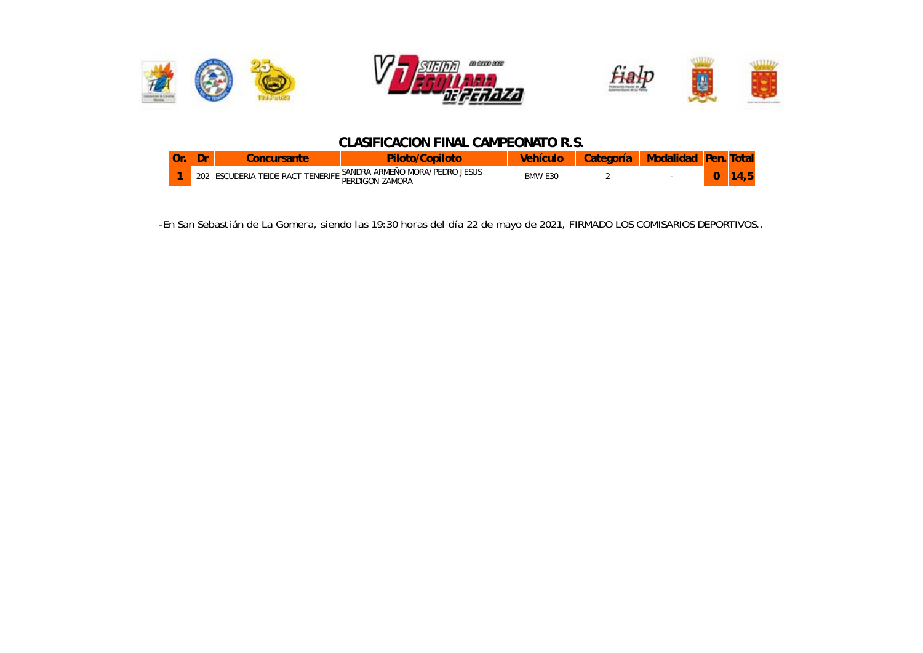

#### *CLASIFICACION FINAL CAMPEONATO R.S.*

| Ur | m<br>υı |                                                         |                                                                                                        |                                                 |  |   |  |
|----|---------|---------------------------------------------------------|--------------------------------------------------------------------------------------------------------|-------------------------------------------------|--|---|--|
|    | 202     | <b>ENERIFI</b><br>RAC <sup>-</sup><br>'EIDE<br>- 12 I A | <b>IESUS</b><br>$H \times A / D$ FDP $\cap$<br>ARMEÑC<br>SANDRA<br>10R <sub>0</sub><br>ZAMORA<br>DEDI. | <b>BMW</b><br>E <sub>3</sub> C<br>$\sim$ $\sim$ |  | u |  |

*-En San Sebastián de La Gomera, siendo las 19:30 horas del día 22 de mayo de 2021, FIRMADO LOS COMISARIOS DEPORTIVOS..*